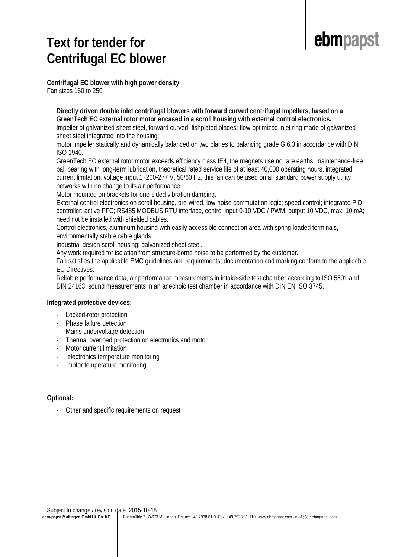### **Text for tender for Centrifugal EC blower**



**Centrifugal EC blower with high power density** Fan sizes 160 to 250

### **Directly driven double inlet centrifugal blowers with forward curved centrifugal impellers, based on a GreenTech EC external rotor motor encased in a scroll housing with external control electronics.**

Impeller of galvanized sheet steel, forward curved, fishplated blades; flow-optimized inlet ring made of galvanized sheet steel integrated into the housing;

motor impeller statically and dynamically balanced on two planes to balancing grade G 6.3 in accordance with DIN ISO 1940.

GreenTech EC external rotor motor exceeds efficiency class IE4, the magnets use no rare earths, maintenance-free ball bearing with long-term lubrication, theoretical rated service life of at least 40,000 operating hours, integrated current limitation, voltage input 1~200-277 V, 50/60 Hz, this fan can be used on all standard power supply utility networks with no change to its air performance.

Motor mounted on brackets for one-sided vibration damping.

External control electronics on scroll housing, pre-wired, low-noise commutation logic; speed control; integrated PID controller; active PFC; RS485 MODBUS RTU interface, control input 0-10 VDC / PWM; output 10 VDC, max. 10 mA; need not be installed with shielded cables.

Control electronics, aluminum housing with easily accessible connection area with spring loaded terminals, environmentally stable cable glands.

Industrial design scroll housing; galvanized sheet steel.

Any work required for isolation from structure-borne noise to be performed by the customer.

Fan satisfies the applicable EMC guidelines and requirements; documentation and marking conform to the applicable EU Directives.

Reliable performance data, air performance measurements in intake-side test chamber according to ISO 5801 and DIN 24163, sound measurements in an anechoic test chamber in accordance with DIN EN ISO 3745.

### **Integrated protective devices:**

- Locked-rotor protection
- Phase failure detection
- Mains undervoltage detection
- Thermal overload protection on electronics and motor
- Motor current limitation
- electronics temperature monitoring
- motor temperature monitoring

### **Optional:**

- Other and specific requirements on request